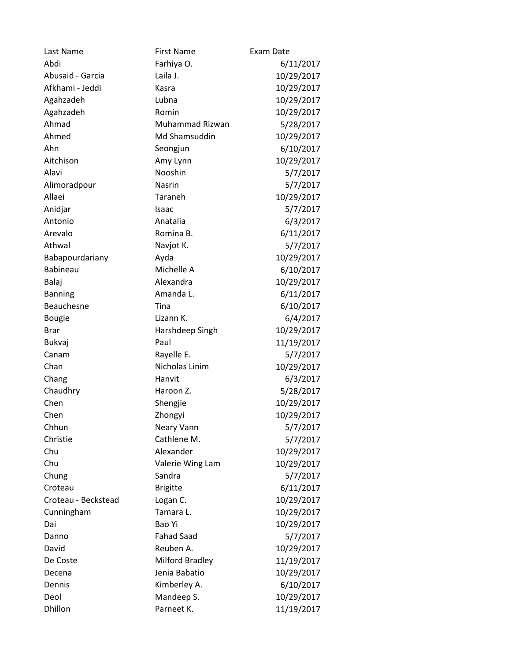| Last Name           | <b>First Name</b> | Exam Date  |
|---------------------|-------------------|------------|
| Abdi                | Farhiya O.        | 6/11/2017  |
| Abusaid - Garcia    | Laila J.          | 10/29/2017 |
| Afkhami - Jeddi     | Kasra             | 10/29/2017 |
| Agahzadeh           | Lubna             | 10/29/2017 |
| Agahzadeh           | Romin             | 10/29/2017 |
| Ahmad               | Muhammad Rizwan   | 5/28/2017  |
| Ahmed               | Md Shamsuddin     | 10/29/2017 |
| Ahn                 | Seongjun          | 6/10/2017  |
| Aitchison           | Amy Lynn          | 10/29/2017 |
| Alavi               | Nooshin           | 5/7/2017   |
| Alimoradpour        | Nasrin            | 5/7/2017   |
| Allaei              | Taraneh           | 10/29/2017 |
| Anidjar             | Isaac             | 5/7/2017   |
| Antonio             | Anatalia          | 6/3/2017   |
| Arevalo             | Romina B.         | 6/11/2017  |
| Athwal              | Navjot K.         | 5/7/2017   |
| Babapourdariany     | Ayda              | 10/29/2017 |
| <b>Babineau</b>     | Michelle A        | 6/10/2017  |
| Balaj               | Alexandra         | 10/29/2017 |
| <b>Banning</b>      | Amanda L.         | 6/11/2017  |
| Beauchesne          | Tina              | 6/10/2017  |
| <b>Bougie</b>       | Lizann K.         | 6/4/2017   |
| <b>Brar</b>         | Harshdeep Singh   | 10/29/2017 |
| Bukvaj              | Paul              | 11/19/2017 |
| Canam               | Rayelle E.        | 5/7/2017   |
| Chan                | Nicholas Linim    | 10/29/2017 |
| Chang               | Hanvit            | 6/3/2017   |
| Chaudhry            | Haroon Z.         | 5/28/2017  |
| Chen                | Shengjie          | 10/29/2017 |
| Chen                | Zhongyi           | 10/29/2017 |
| Chhun               | Neary Vann        | 5/7/2017   |
| Christie            | Cathlene M.       | 5/7/2017   |
| Chu                 | Alexander         | 10/29/2017 |
| Chu                 | Valerie Wing Lam  | 10/29/2017 |
| Chung               | Sandra            | 5/7/2017   |
| Croteau             | <b>Brigitte</b>   | 6/11/2017  |
| Croteau - Beckstead | Logan C.          | 10/29/2017 |
| Cunningham          | Tamara L.         | 10/29/2017 |
| Dai                 | Bao Yi            | 10/29/2017 |
| Danno               | <b>Fahad Saad</b> | 5/7/2017   |
| David               | Reuben A.         | 10/29/2017 |
| De Coste            | Milford Bradley   | 11/19/2017 |
| Decena              | Jenia Babatio     | 10/29/2017 |
| Dennis              | Kimberley A.      | 6/10/2017  |
| Deol                | Mandeep S.        | 10/29/2017 |
| Dhillon             | Parneet K.        | 11/19/2017 |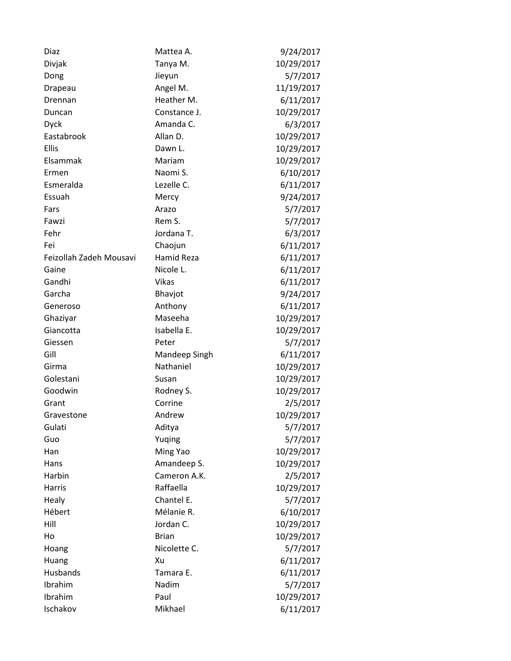| Diaz                    | Mattea A.         | 9/24/2017  |
|-------------------------|-------------------|------------|
| Divjak                  | Tanya M.          | 10/29/2017 |
| Dong                    | Jieyun            | 5/7/2017   |
| Drapeau                 | Angel M.          | 11/19/2017 |
| Drennan                 | Heather M.        | 6/11/2017  |
| Duncan                  | Constance J.      | 10/29/2017 |
| <b>Dyck</b>             | Amanda C.         | 6/3/2017   |
| Eastabrook              | Allan D.          | 10/29/2017 |
| Ellis                   | Dawn L.           | 10/29/2017 |
| Elsammak                | Mariam            | 10/29/2017 |
| Ermen                   | Naomi S.          | 6/10/2017  |
| Esmeralda               | Lezelle C.        | 6/11/2017  |
| Essuah                  | Mercy             | 9/24/2017  |
| Fars                    | Arazo             | 5/7/2017   |
| Fawzi                   | Rem S.            | 5/7/2017   |
| Fehr                    | Jordana T.        | 6/3/2017   |
| Fei                     | Chaojun           | 6/11/2017  |
| Feizollah Zadeh Mousavi | <b>Hamid Reza</b> | 6/11/2017  |
| Gaine                   | Nicole L.         | 6/11/2017  |
| Gandhi                  | Vikas             | 6/11/2017  |
| Garcha                  | Bhavjot           | 9/24/2017  |
| Generoso                | Anthony           | 6/11/2017  |
| Ghaziyar                | Maseeha           | 10/29/2017 |
| Giancotta               | Isabella E.       | 10/29/2017 |
| Giessen                 | Peter             | 5/7/2017   |
| Gill                    | Mandeep Singh     | 6/11/2017  |
| Girma                   | Nathaniel         | 10/29/2017 |
| Golestani               | Susan             | 10/29/2017 |
| Goodwin                 | Rodney S.         | 10/29/2017 |
| Grant                   | Corrine           | 2/5/2017   |
| Gravestone              | Andrew            | 10/29/2017 |
| Gulati                  | Aditya            | 5/7/2017   |
| Guo                     | Yuqing            | 5/7/2017   |
| Han                     | Ming Yao          | 10/29/2017 |
| Hans                    | Amandeep S.       | 10/29/2017 |
| Harbin                  | Cameron A.K.      | 2/5/2017   |
| Harris                  | Raffaella         | 10/29/2017 |
| Healy                   | Chantel E.        | 5/7/2017   |
| Hébert                  | Mélanie R.        | 6/10/2017  |
| Hill                    | Jordan C.         | 10/29/2017 |
| Ho                      | <b>Brian</b>      | 10/29/2017 |
| Hoang                   | Nicolette C.      | 5/7/2017   |
| Huang                   | Xu                | 6/11/2017  |
| Husbands                | Tamara E.         | 6/11/2017  |
| Ibrahim                 | Nadim             | 5/7/2017   |
| Ibrahim                 | Paul              | 10/29/2017 |
| Ischakov                | Mikhael           | 6/11/2017  |
|                         |                   |            |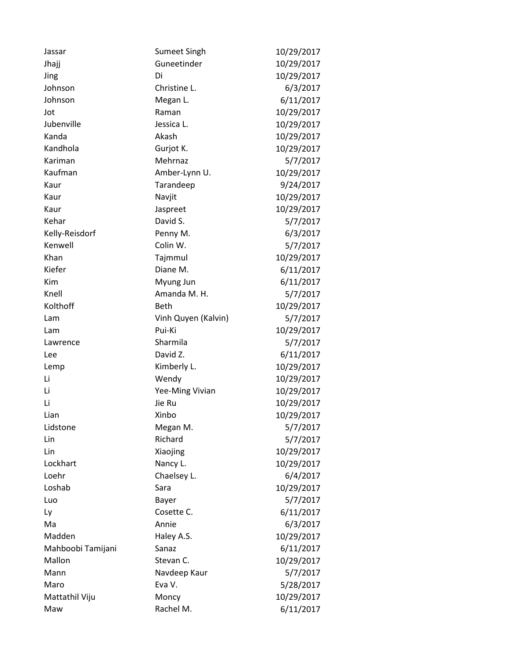| Jassar            | <b>Sumeet Singh</b> | 10/29/2017 |
|-------------------|---------------------|------------|
| Jhajj             | Guneetinder         | 10/29/2017 |
| Jing              | Di                  | 10/29/2017 |
| Johnson           | Christine L.        | 6/3/2017   |
| Johnson           | Megan L.            | 6/11/2017  |
| Jot               | Raman               | 10/29/2017 |
| Jubenville        | Jessica L.          | 10/29/2017 |
| Kanda             | Akash               | 10/29/2017 |
| Kandhola          | Gurjot K.           | 10/29/2017 |
| Kariman           | Mehrnaz             | 5/7/2017   |
| Kaufman           | Amber-Lynn U.       | 10/29/2017 |
| Kaur              | Tarandeep           | 9/24/2017  |
| Kaur              | Navjit              | 10/29/2017 |
| Kaur              | Jaspreet            | 10/29/2017 |
| Kehar             | David S.            | 5/7/2017   |
| Kelly-Reisdorf    | Penny M.            | 6/3/2017   |
| Kenwell           | Colin W.            | 5/7/2017   |
| Khan              | Tajmmul             | 10/29/2017 |
| Kiefer            | Diane M.            | 6/11/2017  |
| Kim               | Myung Jun           | 6/11/2017  |
| Knell             | Amanda M. H.        | 5/7/2017   |
| Kolthoff          | <b>Beth</b>         | 10/29/2017 |
| Lam               | Vinh Quyen (Kalvin) | 5/7/2017   |
| Lam               | Pui-Ki              | 10/29/2017 |
| Lawrence          | Sharmila            | 5/7/2017   |
| Lee               | David Z.            | 6/11/2017  |
| Lemp              | Kimberly L.         | 10/29/2017 |
| Li                | Wendy               | 10/29/2017 |
| Li                | Yee-Ming Vivian     | 10/29/2017 |
| Li                | Jie Ru              | 10/29/2017 |
| Lian              | Xinbo               | 10/29/2017 |
| Lidstone          | Megan M.            | 5/7/2017   |
| Lin               | Richard             | 5/7/2017   |
| Lin               | Xiaojing            | 10/29/2017 |
| Lockhart          | Nancy L.            | 10/29/2017 |
| Loehr             | Chaelsey L.         | 6/4/2017   |
| Loshab            | Sara                | 10/29/2017 |
| Luo               | Bayer               | 5/7/2017   |
| Ly                | Cosette C.          | 6/11/2017  |
| Ma                | Annie               | 6/3/2017   |
| Madden            | Haley A.S.          | 10/29/2017 |
| Mahboobi Tamijani | Sanaz               | 6/11/2017  |
| Mallon            | Stevan C.           | 10/29/2017 |
| Mann              | Navdeep Kaur        | 5/7/2017   |
| Maro              | Eva V.              | 5/28/2017  |
| Mattathil Viju    | Moncy               | 10/29/2017 |
| Maw               | Rachel M.           | 6/11/2017  |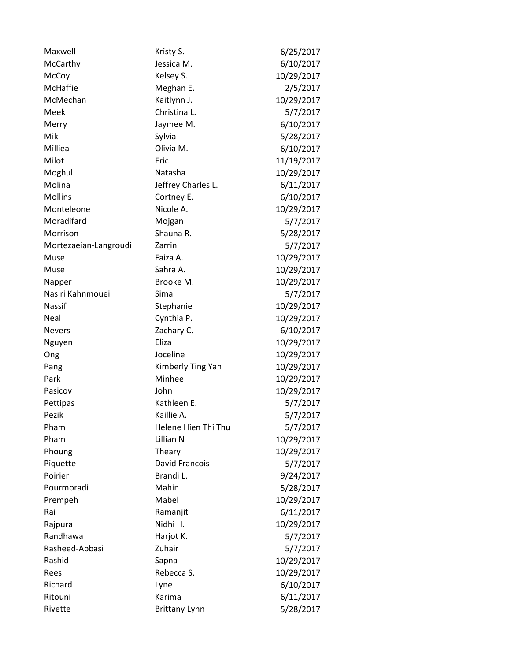| Maxwell               | Kristy S.             | 6/25/2017  |
|-----------------------|-----------------------|------------|
| McCarthy              | Jessica M.            | 6/10/2017  |
| McCoy                 | Kelsey S.             | 10/29/2017 |
| <b>McHaffie</b>       | Meghan E.             | 2/5/2017   |
| McMechan              | Kaitlynn J.           | 10/29/2017 |
| Meek                  | Christina L.          | 5/7/2017   |
| Merry                 | Jaymee M.             | 6/10/2017  |
| Mik                   | Sylvia                | 5/28/2017  |
| Milliea               | Olivia M.             | 6/10/2017  |
| Milot                 | Eric                  | 11/19/2017 |
| Moghul                | Natasha               | 10/29/2017 |
| Molina                | Jeffrey Charles L.    | 6/11/2017  |
| <b>Mollins</b>        | Cortney E.            | 6/10/2017  |
| Monteleone            | Nicole A.             | 10/29/2017 |
| Moradifard            | Mojgan                | 5/7/2017   |
| Morrison              | Shauna R.             | 5/28/2017  |
| Mortezaeian-Langroudi | Zarrin                | 5/7/2017   |
| Muse                  | Faiza A.              | 10/29/2017 |
| Muse                  | Sahra A.              | 10/29/2017 |
| Napper                | Brooke M.             | 10/29/2017 |
| Nasiri Kahnmouei      | Sima                  | 5/7/2017   |
| Nassif                | Stephanie             | 10/29/2017 |
| Neal                  | Cynthia P.            | 10/29/2017 |
| <b>Nevers</b>         | Zachary C.            | 6/10/2017  |
| Nguyen                | Eliza                 | 10/29/2017 |
| Ong                   | Joceline              | 10/29/2017 |
| Pang                  | Kimberly Ting Yan     | 10/29/2017 |
| Park                  | Minhee                | 10/29/2017 |
| Pasicov               | John                  | 10/29/2017 |
| Pettipas              | Kathleen E.           | 5/7/2017   |
| Pezik                 | Kaillie A.            | 5/7/2017   |
| Pham                  | Helene Hien Thi Thu   | 5/7/2017   |
| Pham                  | Lillian N             | 10/29/2017 |
| Phoung                | Theary                | 10/29/2017 |
| Piquette              | <b>David Francois</b> | 5/7/2017   |
| Poirier               | Brandi L.             | 9/24/2017  |
| Pourmoradi            | Mahin                 | 5/28/2017  |
| Prempeh               | Mabel                 | 10/29/2017 |
| Rai                   | Ramanjit              | 6/11/2017  |
| Rajpura               | Nidhi H.              | 10/29/2017 |
| Randhawa              | Harjot K.             | 5/7/2017   |
| Rasheed-Abbasi        | Zuhair                | 5/7/2017   |
| Rashid                | Sapna                 | 10/29/2017 |
| Rees                  | Rebecca S.            | 10/29/2017 |
| Richard               | Lyne                  | 6/10/2017  |
| Ritouni               | Karima                | 6/11/2017  |
| Rivette               | <b>Brittany Lynn</b>  | 5/28/2017  |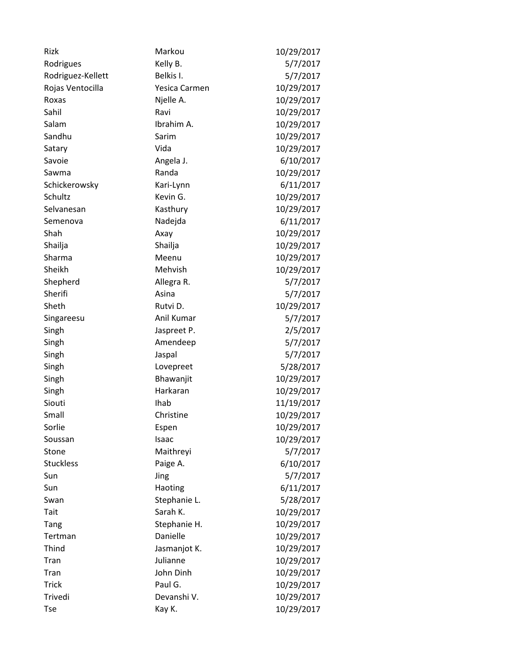| Rizk              | Markou        | 10/29/2017 |
|-------------------|---------------|------------|
| Rodrigues         | Kelly B.      | 5/7/2017   |
| Rodriguez-Kellett | Belkis I.     | 5/7/2017   |
| Rojas Ventocilla  | Yesica Carmen | 10/29/2017 |
| Roxas             | Njelle A.     | 10/29/2017 |
| Sahil             | Ravi          | 10/29/2017 |
| Salam             | Ibrahim A.    | 10/29/2017 |
| Sandhu            | Sarim         | 10/29/2017 |
| Satary            | Vida          | 10/29/2017 |
| Savoie            | Angela J.     | 6/10/2017  |
| Sawma             | Randa         | 10/29/2017 |
| Schickerowsky     | Kari-Lynn     | 6/11/2017  |
| Schultz           | Kevin G.      | 10/29/2017 |
| Selvanesan        | Kasthury      | 10/29/2017 |
| Semenova          | Nadejda       | 6/11/2017  |
| Shah              | Axay          | 10/29/2017 |
| Shailja           | Shailja       | 10/29/2017 |
| Sharma            | Meenu         | 10/29/2017 |
| Sheikh            | Mehvish       | 10/29/2017 |
| Shepherd          | Allegra R.    | 5/7/2017   |
| Sherifi           | Asina         | 5/7/2017   |
| Sheth             | Rutvi D.      | 10/29/2017 |
| Singareesu        | Anil Kumar    | 5/7/2017   |
| Singh             | Jaspreet P.   | 2/5/2017   |
| Singh             | Amendeep      | 5/7/2017   |
| Singh             | Jaspal        | 5/7/2017   |
| Singh             | Lovepreet     | 5/28/2017  |
| Singh             | Bhawanjit     | 10/29/2017 |
| Singh             | Harkaran      | 10/29/2017 |
| Siouti            | Ihab          | 11/19/2017 |
| Small             | Christine     | 10/29/2017 |
| Sorlie            | Espen         | 10/29/2017 |
| Soussan           | Isaac         | 10/29/2017 |
| Stone             | Maithreyi     | 5/7/2017   |
| <b>Stuckless</b>  | Paige A.      | 6/10/2017  |
| Sun               | Jing          | 5/7/2017   |
| Sun               | Haoting       | 6/11/2017  |
| Swan              | Stephanie L.  | 5/28/2017  |
| Tait              | Sarah K.      | 10/29/2017 |
| Tang              | Stephanie H.  | 10/29/2017 |
| Tertman           | Danielle      | 10/29/2017 |
| Thind             | Jasmanjot K.  | 10/29/2017 |
| Tran              | Julianne      | 10/29/2017 |
| Tran              | John Dinh     | 10/29/2017 |
| <b>Trick</b>      | Paul G.       | 10/29/2017 |
| Trivedi           | Devanshi V.   | 10/29/2017 |
| Tse               | Kay K.        | 10/29/2017 |